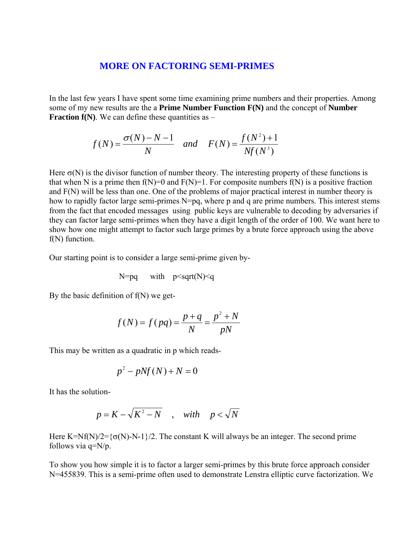## **MORE ON FACTORING SEMI-PRIMES**

 In the last few years I have spent some time examining prime numbers and their properties. Among some of my new results are the a **Prime Number Function F(N)** and the concept of **Number Fraction**  $f(N)$ . We can define these quantities as  $-$ 

$$
f(N) = {\sigma(N) - N - 1 \over N}
$$
 and  $F(N) = {f(N^2) + 1 \over Nf(N^3)}$ 

Here  $\sigma(N)$  is the divisor function of number theory. The interesting property of these functions is that when N is a prime then  $f(N)=0$  and  $F(N)=1$ . For composite numbers  $f(N)$  is a positive fraction and F(N) will be less than one. One of the problems of major practical interest in number theory is how to rapidly factor large semi-primes N=pq, where p and q are prime numbers. This interest stems from the fact that encoded messages using public keys are vulnerable to decoding by adversaries if they can factor large semi-primes when they have a digit length of the order of 100. We want here to show how one might attempt to factor such large primes by a brute force approach using the above f(N) function.

Our starting point is to consider a large semi-prime given by-

$$
N=pq
$$
 with  $p\leq sqrt(N)\leq q$ 

By the basic definition of  $f(N)$  we get-

$$
f(N) = f(pq) = \frac{p+q}{N} = \frac{p^2 + N}{pN}
$$

This may be written as a quadratic in p which reads-

$$
p^2 - pNf(N) + N = 0
$$

It has the solution-

$$
p = K - \sqrt{K^2 - N} \quad , \quad with \quad p < \sqrt{N}
$$

Here K=Nf(N)/2= ${\sigma(N)}$ -N-1}/2. The constant K will always be an integer. The second prime follows via q=N/p.

To show you how simple it is to factor a larger semi-primes by this brute force approach consider N=455839. This is a semi-prime often used to demonstrate Lenstra elliptic curve factorization. We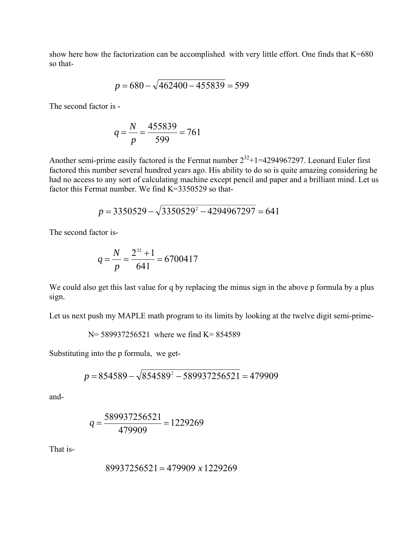show here how the factorization can be accomplished with very little effort. One finds that K=680 so that-

$$
p = 680 - \sqrt{462400 - 455839} = 599
$$

The second factor is -

$$
q = \frac{N}{p} = \frac{455839}{599} = 761
$$

Another semi-prime easily factored is the Fermat number  $2^{32}+1=4294967297$ . Leonard Euler first factored this number several hundred years ago. His ability to do so is quite amazing considering he had no access to any sort of calculating machine except pencil and paper and a brilliant mind. Let us factor this Fermat number. We find K=3350529 so that-

$$
p = 3350529 - \sqrt{3350529^2 - 4294967297} = 641
$$

The second factor is-

$$
q = \frac{N}{p} = \frac{2^{32} + 1}{641} = 6700417
$$

We could also get this last value for q by replacing the minus sign in the above p formula by a plus sign.

Let us next push my MAPLE math program to its limits by looking at the twelve digit semi-prime-

$$
N = 589937256521
$$
 where we find  $K = 854589$ 

Substituting into the p formula, we get-

$$
p = 854589 - \sqrt{854589^2 - 589937256521} = 479909
$$

and-

$$
q = \frac{589937256521}{479909} = 1229269
$$

That is-

$$
89937256521 = 479909 \times 1229269
$$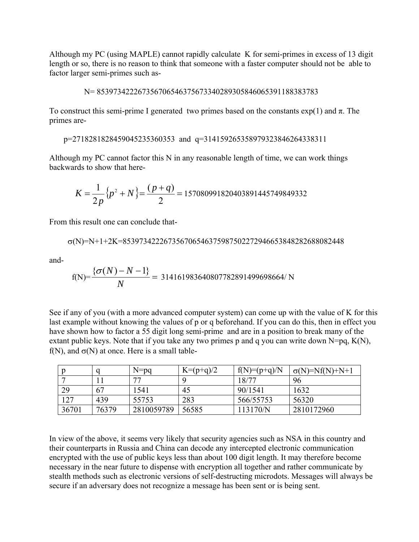Although my PC (using MAPLE) cannot rapidly calculate K for semi-primes in excess of 13 digit length or so, there is no reason to think that someone with a faster computer should not be able to factor larger semi-primes such as-

$$
N = 853973422267356706546375673340289305846065391188383783
$$

To construct this semi-prime I generated two primes based on the constants  $\exp(1)$  and  $\pi$ . The primes are-

```
 p=2718281828459045235360353 and q=314159265358979323846264338311
```
Although my PC cannot factor this N in any reasonable length of time, we can work things backwards to show that here-

$$
K = \frac{1}{2p} \{p^2 + N\} = \frac{(p+q)}{2} = 157080991820403891445749849332
$$

From this result one can conclude that-

$$
\sigma(N)\text{=}N\text{+}1\text{+}2K\text{=}853973422267356706546375987502272946653848282688082448
$$

and-

$$
f(N) = \frac{\{\sigma(N) - N - 1\}}{N} = 314161983640807782891499698664/N
$$

See if any of you (with a more advanced computer system) can come up with the value of K for this last example without knowing the values of p or q beforehand. If you can do this, then in effect you have shown how to factor a 55 digit long semi-prime and are in a position to break many of the extant public keys. Note that if you take any two primes p and q you can write down  $N=pq$ ,  $K(N)$ , f(N), and  $\sigma(N)$  at once. Here is a small table-

|       |       | $N=pq$     | $K=(p+q)/2$ | $f(N)=(p+q)/N$ | $\sigma(N)=Nf(N)+N+1$ |
|-------|-------|------------|-------------|----------------|-----------------------|
|       |       | 77         |             | 18/77          | 96                    |
| 29    | 67    | 1541       | 45          | 90/1541        | 1632                  |
| 127   | 439   | 55753      | 283         | 566/55753      | 56320                 |
| 36701 | 76379 | 2810059789 | 56585       | 113170/N       | 2810172960            |

In view of the above, it seems very likely that security agencies such as NSA in this country and their counterparts in Russia and China can decode any intercepted electronic communication encrypted with the use of public keys less than about 100 digit length. It may therefore become necessary in the near future to dispense with encryption all together and rather communicate by stealth methods such as electronic versions of self-destructing microdots. Messages will always be secure if an adversary does not recognize a message has been sent or is being sent.